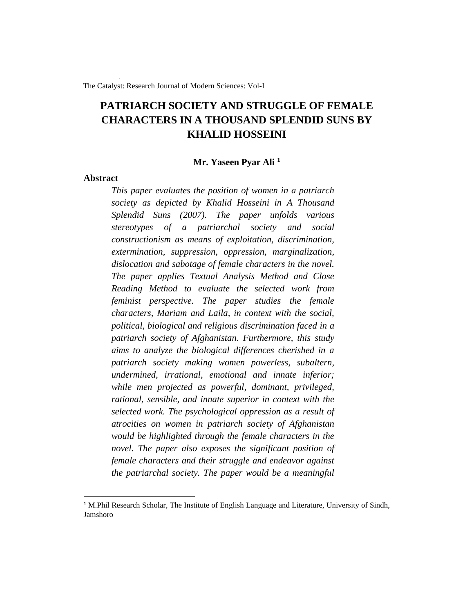The Catalyst: Research Journal of Modern Sciences: Vol-I

# **PATRIARCH SOCIETY AND STRUGGLE OF FEMALE CHARACTERS IN A THOUSAND SPLENDID SUNS BY KHALID HOSSEINI**

# **Mr. Yaseen Pyar Ali <sup>1</sup>**

# **Abstract**

*This paper evaluates the position of women in a patriarch society as depicted by Khalid Hosseini in A Thousand Splendid Suns (2007). The paper unfolds various stereotypes of a patriarchal society and social constructionism as means of exploitation, discrimination, extermination, suppression, oppression, marginalization, dislocation and sabotage of female characters in the novel. The paper applies Textual Analysis Method and Close Reading Method to evaluate the selected work from feminist perspective. The paper studies the female characters, Mariam and Laila, in context with the social, political, biological and religious discrimination faced in a patriarch society of Afghanistan. Furthermore, this study aims to analyze the biological differences cherished in a patriarch society making women powerless, subaltern, undermined, irrational, emotional and innate inferior; while men projected as powerful, dominant, privileged, rational, sensible, and innate superior in context with the selected work. The psychological oppression as a result of atrocities on women in patriarch society of Afghanistan would be highlighted through the female characters in the novel. The paper also exposes the significant position of female characters and their struggle and endeavor against the patriarchal society. The paper would be a meaningful* 

<sup>&</sup>lt;sup>1</sup> M.Phil Research Scholar, The Institute of English Language and Literature, University of Sindh, Jamshoro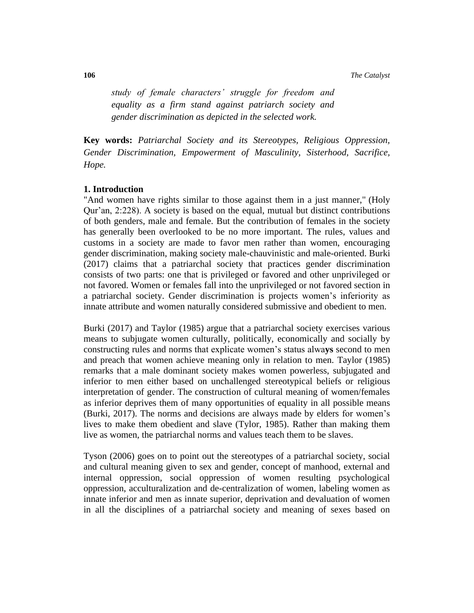**106** *The Catalyst*

*study of female characters' struggle for freedom and equality as a firm stand against patriarch society and gender discrimination as depicted in the selected work.* 

**Key words:** *Patriarchal Society and its Stereotypes, Religious Oppression, Gender Discrimination, Empowerment of Masculinity, Sisterhood, Sacrifice, Hope.*

# **1. Introduction**

"And women have rights similar to those against them in a just manner," (Holy Qur'an, 2:228). A society is based on the equal, mutual but distinct contributions of both genders, male and female. But the contribution of females in the society has generally been overlooked to be no more important. The rules, values and customs in a society are made to favor men rather than women, encouraging gender discrimination, making society male-chauvinistic and male-oriented. Burki (2017) claims that a patriarchal society that practices gender discrimination consists of two parts: one that is privileged or favored and other unprivileged or not favored. Women or females fall into the unprivileged or not favored section in a patriarchal society. Gender discrimination is projects women's inferiority as innate attribute and women naturally considered submissive and obedient to men.

Burki (2017) and Taylor (1985) argue that a patriarchal society exercises various means to subjugate women culturally, politically, economically and socially by constructing rules and norms that explicate women's status alwa**ys** second to men and preach that women achieve meaning only in relation to men. Taylor (1985) remarks that a male dominant society makes women powerless, subjugated and inferior to men either based on unchallenged stereotypical beliefs or religious interpretation of gender. The construction of cultural meaning of women/females as inferior deprives them of many opportunities of equality in all possible means (Burki, 2017). The norms and decisions are always made by elders for women's lives to make them obedient and slave (Tylor, 1985). Rather than making them live as women, the patriarchal norms and values teach them to be slaves.

Tyson (2006) goes on to point out the stereotypes of a patriarchal society, social and cultural meaning given to sex and gender, concept of manhood, external and internal oppression, social oppression of women resulting psychological oppression, acculturalization and de-centralization of women, labeling women as innate inferior and men as innate superior, deprivation and devaluation of women in all the disciplines of a patriarchal society and meaning of sexes based on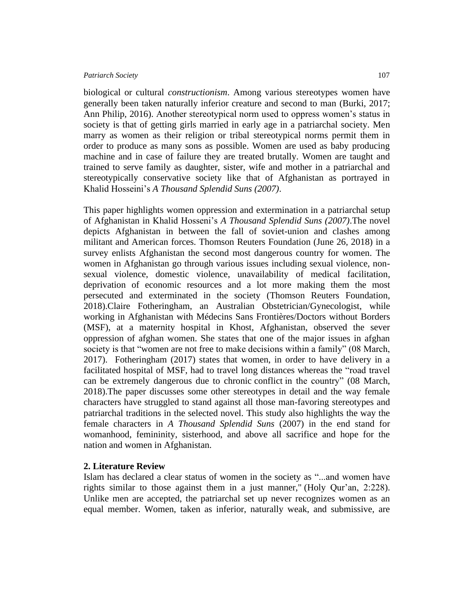biological or cultural *constructionism*. Among various stereotypes women have generally been taken naturally inferior creature and second to man (Burki, 2017; Ann Philip, 2016). Another stereotypical norm used to oppress women's status in society is that of getting girls married in early age in a patriarchal society. Men marry as women as their religion or tribal stereotypical norms permit them in order to produce as many sons as possible. Women are used as baby producing machine and in case of failure they are treated brutally. Women are taught and trained to serve family as daughter, sister, wife and mother in a patriarchal and stereotypically conservative society like that of Afghanistan as portrayed in Khalid Hosseini's *A Thousand Splendid Suns (2007)*.

This paper highlights women oppression and extermination in a patriarchal setup of Afghanistan in Khalid Hosseni's *A Thousand Splendid Suns (2007)*.The novel depicts Afghanistan in between the fall of soviet-union and clashes among militant and American forces. Thomson Reuters Foundation (June 26, 2018) in a survey enlists Afghanistan the second most dangerous country for women. The women in Afghanistan go through various issues including sexual violence, nonsexual violence, domestic violence, unavailability of medical facilitation, deprivation of economic resources and a lot more making them the most persecuted and exterminated in the society (Thomson Reuters Foundation, 2018)[.Claire Fotheringham,](https://www.msf.org.uk/article/afghanistan-one-most-dangerous-places-earth-have-baby) an Australian Obstetrician/Gynecologist, while working in [Afghanistan](https://www.msf.org.uk/country/afghanistan) with Médecins Sans Frontières/Doctors without Borders (MSF), at a maternity hospital in Khost, Afghanistan, observed the sever oppression of afghan women. She states that one of the major issues in afghan society is that "women are not free to make decisions within a family" (08 March, 2017). Fotheringham (2017) states that women, in order to have delivery in a facilitated hospital of MSF, had to travel long distances whereas the "road travel can be extremely dangerous due to chronic [conflict](https://www.msf.org.uk/content/conflict-and-war) in the country" (08 March, 2018).The paper discusses some other stereotypes in detail and the way female characters have struggled to stand against all those man-favoring stereotypes and patriarchal traditions in the selected novel. This study also highlights the way the female characters in *A Thousand Splendid Suns* (2007) in the end stand for womanhood, femininity, sisterhood, and above all sacrifice and hope for the nation and women in Afghanistan.

# **2. Literature Review**

Islam has declared a clear status of women in the society as "...and women have rights similar to those against them in a just manner," (Holy Qur'an, 2:228). Unlike men are accepted, the patriarchal set up never recognizes women as an equal member. Women, taken as inferior, naturally weak, and submissive, are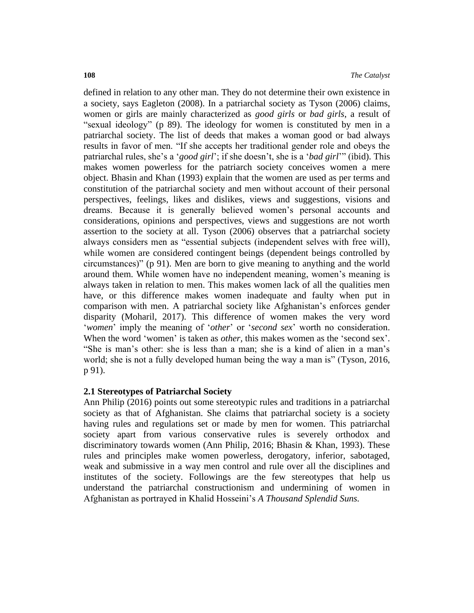defined in relation to any other man. They do not determine their own existence in a society, says Eagleton (2008). In a patriarchal society as Tyson (2006) claims, women or girls are mainly characterized as *good girls* or *bad girls*, a result of "sexual ideology" (p 89). The ideology for women is constituted by men in a patriarchal society. The list of deeds that makes a woman good or bad always results in favor of men. "If she accepts her traditional gender role and obeys the patriarchal rules, she's a '*good girl*'; if she doesn't, she is a '*bad girl*'" (ibid). This makes women powerless for the patriarch society conceives women a mere object. Bhasin and Khan (1993) explain that the women are used as per terms and constitution of the patriarchal society and men without account of their personal perspectives, feelings, likes and dislikes, views and suggestions, visions and dreams. Because it is generally believed women's personal accounts and considerations, opinions and perspectives, views and suggestions are not worth assertion to the society at all. Tyson (2006) observes that a patriarchal society always considers men as "essential subjects (independent selves with free will), while women are considered contingent beings (dependent beings controlled by circumstances)" (p 91). Men are born to give meaning to anything and the world around them. While women have no independent meaning, women's meaning is always taken in relation to men. This makes women lack of all the qualities men have, or this difference makes women inadequate and faulty when put in comparison with men. A patriarchal society like Afghanistan's enforces gender disparity (Moharil, 2017). This difference of women makes the very word '*women*' imply the meaning of '*other*' or '*second sex*' worth no consideration. When the word 'women' is taken as *other,* this makes women as the 'second sex'. "She is man's other: she is less than a man; she is a kind of alien in a man's world; she is not a fully developed human being the way a man is" (Tyson, 2016, p 91).

# **2.1 Stereotypes of Patriarchal Society**

Ann Philip (2016) points out some stereotypic rules and traditions in a patriarchal society as that of Afghanistan. She claims that patriarchal society is a society having rules and regulations set or made by men for women. This patriarchal society apart from various conservative rules is severely orthodox and discriminatory towards women (Ann Philip, 2016; Bhasin & Khan, 1993). These rules and principles make women powerless, derogatory, inferior, sabotaged, weak and submissive in a way men control and rule over all the disciplines and institutes of the society. Followings are the few stereotypes that help us understand the patriarchal constructionism and undermining of women in Afghanistan as portrayed in Khalid Hosseini's *A Thousand Splendid Suns.*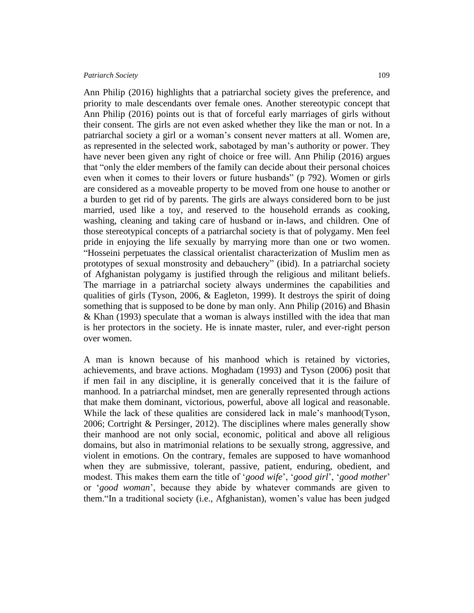Ann Philip (2016) highlights that a patriarchal society gives the preference, and priority to male descendants over female ones. Another stereotypic concept that Ann Philip (2016) points out is that of forceful early marriages of girls without their consent. The girls are not even asked whether they like the man or not. In a patriarchal society a girl or a woman's consent never matters at all. Women are, as represented in the selected work, sabotaged by man's authority or power. They have never been given any right of choice or free will. Ann Philip (2016) argues that "only the elder members of the family can decide about their personal choices even when it comes to their lovers or future husbands" (p 792). Women or girls are considered as a moveable property to be moved from one house to another or a burden to get rid of by parents. The girls are always considered born to be just married, used like a toy, and reserved to the household errands as cooking, washing, cleaning and taking care of husband or in-laws, and children. One of those stereotypical concepts of a patriarchal society is that of polygamy. Men feel pride in enjoying the life sexually by marrying more than one or two women. "Hosseini perpetuates the classical orientalist characterization of Muslim men as prototypes of sexual monstrosity and debauchery" (ibid). In a patriarchal society of Afghanistan polygamy is justified through the religious and militant beliefs. The marriage in a patriarchal society always undermines the capabilities and qualities of girls (Tyson, 2006, & Eagleton, 1999). It destroys the spirit of doing something that is supposed to be done by man only. Ann Philip (2016) and Bhasin & Khan (1993) speculate that a woman is always instilled with the idea that man is her protectors in the society. He is innate master, ruler, and ever-right person over women.

A man is known because of his manhood which is retained by victories, achievements, and brave actions. Moghadam (1993) and Tyson (2006) posit that if men fail in any discipline, it is generally conceived that it is the failure of manhood. In a patriarchal mindset, men are generally represented through actions that make them dominant, victorious, powerful, above all logical and reasonable. While the lack of these qualities are considered lack in male's manhood(Tyson, 2006; Cortright & Persinger, 2012). The disciplines where males generally show their manhood are not only social, economic, political and above all religious domains, but also in matrimonial relations to be sexually strong, aggressive, and violent in emotions. On the contrary, females are supposed to have womanhood when they are submissive, tolerant, passive, patient, enduring, obedient, and modest. This makes them earn the title of '*good wife*', '*good girl*', '*good mother*' or '*good woman*', because they abide by whatever commands are given to them."In a traditional society (i.e., Afghanistan), women's value has been judged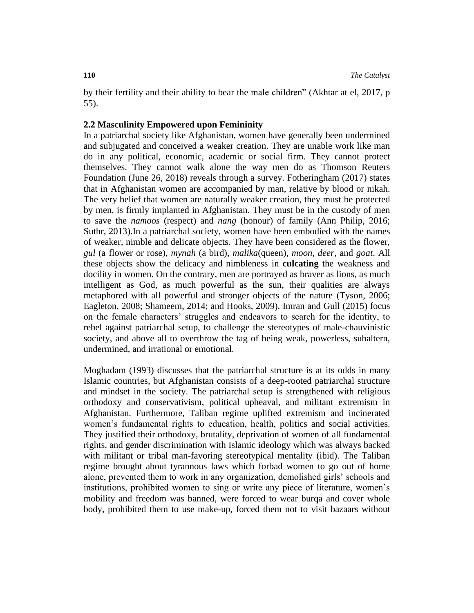by their fertility and their ability to bear the male children" (Akhtar at el, 2017, p 55).

# **2.2 Masculinity Empowered upon Femininity**

In a patriarchal society like Afghanistan, women have generally been undermined and subjugated and conceived a weaker creation. They are unable work like man do in any political, economic, academic or social firm. They cannot protect themselves. They cannot walk alone the way men do as Thomson Reuters Foundation (June 26, 2018) reveals through a survey. Fotheringham (2017) states that in Afghanistan women are accompanied by man, relative by blood or nikah. The very belief that women are naturally weaker creation, they must be protected by men, is firmly implanted in Afghanistan. They must be in the custody of men to save the *namoos* (respect) and *nang* (honour) of family (Ann Philip, 2016; Suthr, 2013).In a patriarchal society, women have been embodied with the names of weaker, nimble and delicate objects. They have been considered as the flower, *gul* (a flower or rose), *mynah* (a bird), *malika*(queen), *moon*, *deer*, and *goat*. All these objects show the delicacy and nimbleness in **culcating** the weakness and docility in women. On the contrary, men are portrayed as braver as lions, as much intelligent as God, as much powerful as the sun, their qualities are always metaphored with all powerful and stronger objects of the nature (Tyson, 2006; Eagleton, 2008; Shameem, 2014; and Hooks, 2009). Imran and Gull (2015) focus on the female characters' struggles and endeavors to search for the identity, to rebel against patriarchal setup, to challenge the stereotypes of male-chauvinistic society, and above all to overthrow the tag of being weak, powerless, subaltern, undermined, and irrational or emotional.

Moghadam (1993) discusses that the patriarchal structure is at its odds in many Islamic countries, but Afghanistan consists of a deep-rooted patriarchal structure and mindset in the society. The patriarchal setup is strengthened with religious orthodoxy and conservativism, political upheaval, and militant extremism in Afghanistan. Furthermore, Taliban regime uplifted extremism and incinerated women's fundamental rights to education, health, politics and social activities. They justified their orthodoxy, brutality, deprivation of women of all fundamental rights, and gender discrimination with Islamic ideology which was always backed with militant or tribal man-favoring stereotypical mentality (ibid). The Taliban regime brought about tyrannous laws which forbad women to go out of home alone, prevented them to work in any organization, demolished girls' schools and institutions, prohibited women to sing or write any piece of literature, women's mobility and freedom was banned, were forced to wear burqa and cover whole body, prohibited them to use make-up, forced them not to visit bazaars without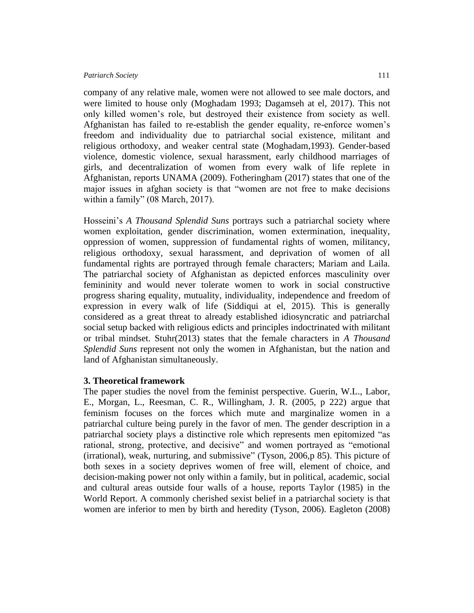company of any relative male, women were not allowed to see male doctors, and were limited to house only (Moghadam 1993; Dagamseh at el, 2017). This not only killed women's role, but destroyed their existence from society as well. Afghanistan has failed to re-establish the gender equality, re-enforce women's freedom and individuality due to patriarchal social existence, militant and religious orthodoxy, and weaker central state (Moghadam,1993). Gender-based violence, domestic violence, sexual harassment, early childhood marriages of girls, and decentralization of women from every walk of life replete in Afghanistan, reports UNAMA (2009). Fotheringham (2017) states that one of the major issues in afghan society is that "women are not free to make decisions within a family" (08 March, 2017).

Hosseini's *A Thousand Splendid Suns* portrays such a patriarchal society where women exploitation, gender discrimination, women extermination, inequality, oppression of women, suppression of fundamental rights of women, militancy, religious orthodoxy, sexual harassment, and deprivation of women of all fundamental rights are portrayed through female characters; Mariam and Laila. The patriarchal society of Afghanistan as depicted enforces masculinity over femininity and would never tolerate women to work in social constructive progress sharing equality, mutuality, individuality, independence and freedom of expression in every walk of life (Siddiqui at el, 2015). This is generally considered as a great threat to already established idiosyncratic and patriarchal social setup backed with religious edicts and principles indoctrinated with militant or tribal mindset. Stuhr(2013) states that the female characters in *A Thousand Splendid Suns* represent not only the women in Afghanistan, but the nation and land of Afghanistan simultaneously.

# **3. Theoretical framework**

The paper studies the novel from the feminist perspective. Guerin, W.L., Labor, E., Morgan, L., Reesman, C. R., Willingham, J. R. (2005, p 222) argue that feminism focuses on the forces which mute and marginalize women in a patriarchal culture being purely in the favor of men. The gender description in a patriarchal society plays a distinctive role which represents men epitomized "as rational, strong, protective, and decisive" and women portrayed as "emotional (irrational), weak, nurturing, and submissive" (Tyson, 2006,p 85). This picture of both sexes in a society deprives women of free will, element of choice, and decision-making power not only within a family, but in political, academic, social and cultural areas outside four walls of a house, reports Taylor (1985) in the World Report. A commonly cherished sexist belief in a patriarchal society is that women are inferior to men by birth and heredity (Tyson, 2006). Eagleton (2008)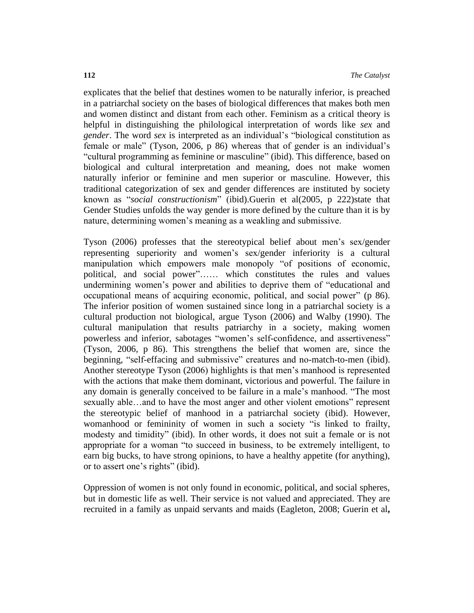explicates that the belief that destines women to be naturally inferior, is preached in a patriarchal society on the bases of biological differences that makes both men and women distinct and distant from each other. Feminism as a critical theory is helpful in distinguishing the philological interpretation of words like *sex* and *gender*. The word *sex* is interpreted as an individual's "biological constitution as female or male" (Tyson, 2006, p 86) whereas that of gender is an individual's "cultural programming as feminine or masculine" (ibid). This difference, based on biological and cultural interpretation and meaning, does not make women naturally inferior or feminine and men superior or masculine. However, this traditional categorization of sex and gender differences are instituted by society known as "*social constructionism*" (ibid).Guerin et al(2005, p 222)state that Gender Studies unfolds the way gender is more defined by the culture than it is by nature, determining women's meaning as a weakling and submissive.

Tyson (2006) professes that the stereotypical belief about men's sex/gender representing superiority and women's sex/gender inferiority is a cultural manipulation which empowers male monopoly "of positions of economic, political, and social power"…… which constitutes the rules and values undermining women's power and abilities to deprive them of "educational and occupational means of acquiring economic, political, and social power" (p 86). The inferior position of women sustained since long in a patriarchal society is a cultural production not biological, argue Tyson (2006) and Walby (1990). The cultural manipulation that results patriarchy in a society, making women powerless and inferior, sabotages "women's self-confidence, and assertiveness" (Tyson, 2006, p 86). This strengthens the belief that women are, since the beginning, "self-effacing and submissive" creatures and no-match-to-men (ibid). Another stereotype Tyson (2006) highlights is that men's manhood is represented with the actions that make them dominant, victorious and powerful. The failure in any domain is generally conceived to be failure in a male's manhood. "The most sexually able...and to have the most anger and other violent emotions" represent the stereotypic belief of manhood in a patriarchal society (ibid). However, womanhood or femininity of women in such a society "is linked to frailty, modesty and timidity" (ibid). In other words, it does not suit a female or is not appropriate for a woman "to succeed in business, to be extremely intelligent, to earn big bucks, to have strong opinions, to have a healthy appetite (for anything), or to assert one's rights" (ibid).

Oppression of women is not only found in economic, political, and social spheres, but in domestic life as well. Their service is not valued and appreciated. They are recruited in a family as unpaid servants and maids (Eagleton, 2008; Guerin et al**,**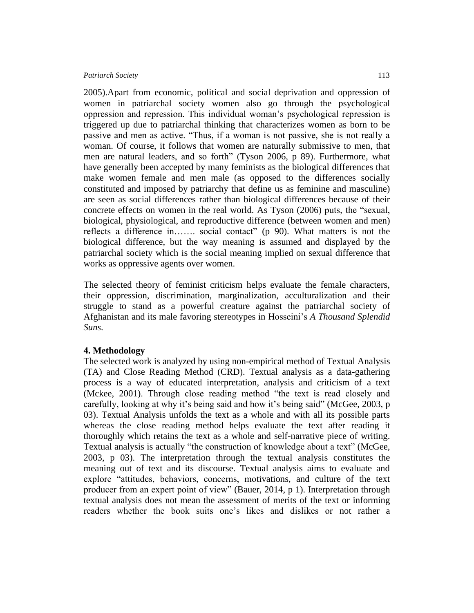2005).Apart from economic, political and social deprivation and oppression of women in patriarchal society women also go through the psychological oppression and repression. This individual woman's psychological repression is triggered up due to patriarchal thinking that characterizes women as born to be passive and men as active. "Thus, if a woman is not passive, she is not really a woman. Of course, it follows that women are naturally submissive to men, that men are natural leaders, and so forth" (Tyson 2006, p 89). Furthermore, what have generally been accepted by many feminists as the biological differences that make women female and men male (as opposed to the differences socially constituted and imposed by patriarchy that define us as feminine and masculine) are seen as social differences rather than biological differences because of their concrete effects on women in the real world. As Tyson (2006) puts, the "sexual, biological, physiological, and reproductive difference (between women and men) reflects a difference in……. social contact" (p 90). What matters is not the biological difference, but the way meaning is assumed and displayed by the patriarchal society which is the social meaning implied on sexual difference that works as oppressive agents over women.

The selected theory of feminist criticism helps evaluate the female characters, their oppression, discrimination, marginalization, acculturalization and their struggle to stand as a powerful creature against the patriarchal society of Afghanistan and its male favoring stereotypes in Hosseini's *A Thousand Splendid Suns.*

# **4. Methodology**

The selected work is analyzed by using non-empirical method of Textual Analysis (TA) and Close Reading Method (CRD). Textual analysis as a data-gathering process is a way of educated interpretation, analysis and criticism of a text (Mckee, 2001). Through close reading method "the text is read closely and carefully, looking at why it's being said and how it's being said" (McGee, 2003, p 03). Textual Analysis unfolds the text as a whole and with all its possible parts whereas the close reading method helps evaluate the text after reading it thoroughly which retains the text as a whole and self-narrative piece of writing. Textual analysis is actually "the construction of knowledge about a text" (McGee, 2003, p 03). The interpretation through the textual analysis constitutes the meaning out of text and its discourse. Textual analysis aims to evaluate and explore "attitudes, behaviors, concerns, motivations, and culture of the text producer from an expert point of view" (Bauer, 2014, p 1). Interpretation through textual analysis does not mean the assessment of merits of the text or informing readers whether the book suits one's likes and dislikes or not rather a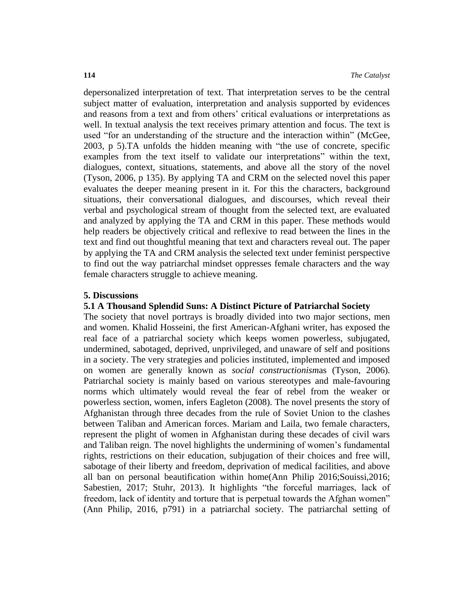depersonalized interpretation of text. That interpretation serves to be the central subject matter of evaluation, interpretation and analysis supported by evidences and reasons from a text and from others' critical evaluations or interpretations as well. In textual analysis the text receives primary attention and focus. The text is used "for an understanding of the structure and the interaction within" (McGee, 2003, p 5).TA unfolds the hidden meaning with "the use of concrete, specific examples from the text itself to validate our interpretations" within the text, dialogues, context, situations, statements, and above all the story of the novel (Tyson, 2006, p 135). By applying TA and CRM on the selected novel this paper evaluates the deeper meaning present in it. For this the characters, background situations, their conversational dialogues, and discourses, which reveal their verbal and psychological stream of thought from the selected text, are evaluated and analyzed by applying the TA and CRM in this paper. These methods would help readers be objectively critical and reflexive to read between the lines in the text and find out thoughtful meaning that text and characters reveal out. The paper by applying the TA and CRM analysis the selected text under feminist perspective to find out the way patriarchal mindset oppresses female characters and the way female characters struggle to achieve meaning.

# **5. Discussions**

# **5.1 A Thousand Splendid Suns: A Distinct Picture of Patriarchal Society**

The society that novel portrays is broadly divided into two major sections, men and women. Khalid Hosseini, the first American-Afghani writer, has exposed the real face of a patriarchal society which keeps women powerless, subjugated, undermined, sabotaged, deprived, unprivileged, and unaware of self and positions in a society. The very strategies and policies instituted, implemented and imposed on women are generally known as *social constructionism*as (Tyson, 2006)*.* Patriarchal society is mainly based on various stereotypes and male-favouring norms which ultimately would reveal the fear of rebel from the weaker or powerless section, women, infers Eagleton (2008). The novel presents the story of Afghanistan through three decades from the rule of Soviet Union to the clashes between Taliban and American forces. Mariam and Laila, two female characters, represent the plight of women in Afghanistan during these decades of civil wars and Taliban reign. The novel highlights the undermining of women's fundamental rights, restrictions on their education, subjugation of their choices and free will, sabotage of their liberty and freedom, deprivation of medical facilities, and above all ban on personal beautification within home(Ann Philip 2016;Souissi,2016; Sabestien, 2017; Stuhr, 2013). It highlights "the forceful marriages, lack of freedom, lack of identity and torture that is perpetual towards the Afghan women" (Ann Philip, 2016, p791) in a patriarchal society. The patriarchal setting of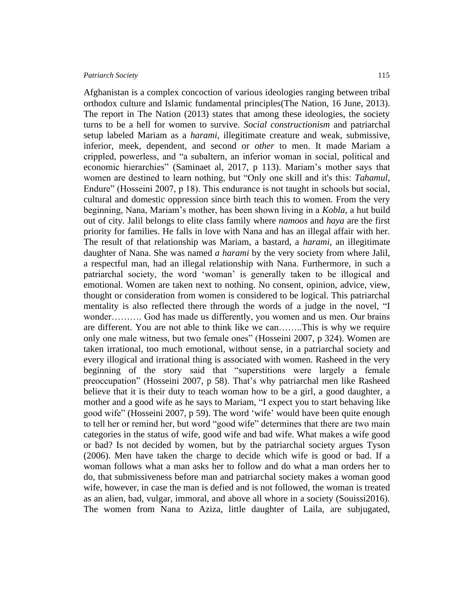Afghanistan is a complex concoction of various ideologies ranging between tribal orthodox culture and Islamic fundamental principles(The Nation, 16 June, 2013). The report in The Nation (2013) states that among these ideologies, the society turns to be a hell for women to survive. *Social constructionism* and patriarchal setup labeled Mariam as a *harami*, illegitimate creature and weak, submissive, inferior, meek, dependent, and second or *other* to men. It made Mariam a crippled, powerless, and "a subaltern, an inferior woman in social, political and economic hierarchies" (Saminaet al, 2017, p 113). Mariam's mother says that women are destined to learn nothing, but "Only one skill and it's this: *Tahamul,* Endure" (Hosseini 2007, p 18). This endurance is not taught in schools but social, cultural and domestic oppression since birth teach this to women. From the very beginning, Nana, Mariam's mother, has been shown living in a *Kobla,* a hut build out of city*.* Jalil belongs to elite class family where *namoos* and *haya* are the first priority for families. He falls in love with Nana and has an illegal affair with her. The result of that relationship was Mariam, a bastard, a *harami,* an illegitimate daughter of Nana. She was named *a harami* by the very society from where Jalil, a respectful man, had an illegal relationship with Nana. Furthermore, in such a patriarchal society, the word 'woman' is generally taken to be illogical and emotional. Women are taken next to nothing. No consent, opinion, advice, view, thought or consideration from women is considered to be logical. This patriarchal mentality is also reflected there through the words of a judge in the novel, "I wonder………. God has made us differently, you women and us men. Our brains are different. You are not able to think like we can……..This is why we require only one male witness, but two female ones" (Hosseini 2007, p 324). Women are taken irrational, too much emotional, without sense, in a patriarchal society and every illogical and irrational thing is associated with women. Rasheed in the very beginning of the story said that "superstitions were largely a female preoccupation" (Hosseini 2007, p 58). That's why patriarchal men like Rasheed believe that it is their duty to teach woman how to be a girl, a good daughter, a mother and a good wife as he says to Mariam, "I expect you to start behaving like good wife" (Hosseini 2007, p 59). The word 'wife' would have been quite enough to tell her or remind her, but word "good wife" determines that there are two main categories in the status of wife, good wife and bad wife. What makes a wife good or bad? Is not decided by women, but by the patriarchal society argues Tyson (2006). Men have taken the charge to decide which wife is good or bad. If a

woman follows what a man asks her to follow and do what a man orders her to do, that submissiveness before man and patriarchal society makes a woman good wife, however, in case the man is defied and is not followed, the woman is treated as an alien, bad, vulgar, immoral, and above all whore in a society (Souissi2016). The women from Nana to Aziza, little daughter of Laila, are subjugated,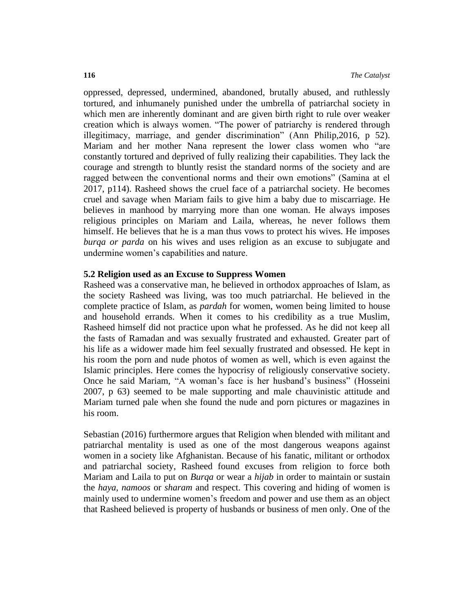oppressed, depressed, undermined, abandoned, brutally abused, and ruthlessly tortured, and inhumanely punished under the umbrella of patriarchal society in which men are inherently dominant and are given birth right to rule over weaker creation which is always women. "The power of patriarchy is rendered through illegitimacy, marriage, and gender discrimination" (Ann Philip,2016, p 52). Mariam and her mother Nana represent the lower class women who "are constantly tortured and deprived of fully realizing their capabilities. They lack the courage and strength to bluntly resist the standard norms of the society and are ragged between the conventional norms and their own emotions" (Samina at el 2017, p114). Rasheed shows the cruel face of a patriarchal society. He becomes cruel and savage when Mariam fails to give him a baby due to miscarriage. He believes in manhood by marrying more than one woman. He always imposes religious principles on Mariam and Laila, whereas, he never follows them himself. He believes that he is a man thus vows to protect his wives. He imposes *burqa or parda* on his wives and uses religion as an excuse to subjugate and undermine women's capabilities and nature.

### **5.2 Religion used as an Excuse to Suppress Women**

Rasheed was a conservative man, he believed in orthodox approaches of Islam, as the society Rasheed was living, was too much patriarchal. He believed in the complete practice of Islam, as *pardah* for women, women being limited to house and household errands. When it comes to his credibility as a true Muslim, Rasheed himself did not practice upon what he professed. As he did not keep all the fasts of Ramadan and was sexually frustrated and exhausted. Greater part of his life as a widower made him feel sexually frustrated and obsessed. He kept in his room the porn and nude photos of women as well, which is even against the Islamic principles. Here comes the hypocrisy of religiously conservative society. Once he said Mariam, "A woman's face is her husband's business" (Hosseini 2007, p 63) seemed to be male supporting and male chauvinistic attitude and Mariam turned pale when she found the nude and porn pictures or magazines in his room.

Sebastian (2016) furthermore argues that Religion when blended with militant and patriarchal mentality is used as one of the most dangerous weapons against women in a society like Afghanistan. Because of his fanatic, militant or orthodox and patriarchal society, Rasheed found excuses from religion to force both Mariam and Laila to put on *Burqa* or wear a *hijab* in order to maintain or sustain the *haya, namoos* or *sharam* and respect. This covering and hiding of women is mainly used to undermine women's freedom and power and use them as an object that Rasheed believed is property of husbands or business of men only. One of the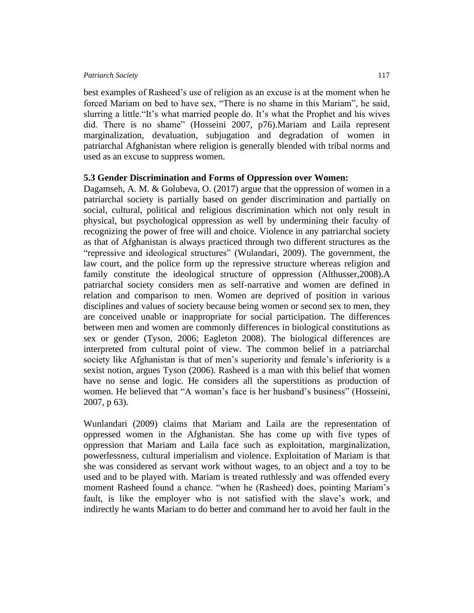best examples of Rasheed's use of religion as an excuse is at the moment when he forced Mariam on bed to have sex, "There is no shame in this Mariam", he said, slurring a little."It's what married people do. It's what the Prophet and his wives did. There is no shame" (Hosseini 2007, p76).Mariam and Laila represent marginalization, devaluation, subjugation and degradation of women in patriarchal Afghanistan where religion is generally blended with tribal norms and used as an excuse to suppress women.

# **5.3 Gender Discrimination and Forms of Oppression over Women:**

Dagamseh, A. M. & Golubeva, O. (2017) argue that the oppression of women in a patriarchal society is partially based on gender discrimination and partially on social, cultural, political and religious discrimination which not only result in physical, but psychological oppression as well by undermining their faculty of recognizing the power of free will and choice. Violence in any patriarchal society as that of Afghanistan is always practiced through two different structures as the "repressive and ideological structures" (Wulandari, 2009). The government, the law court, and the police form up the repressive structure whereas religion and family constitute the ideological structure of oppression (Althusser,2008).A patriarchal society considers men as self-narrative and women are defined in relation and comparison to men. Women are deprived of position in various disciplines and values of society because being women or second sex to men, they are conceived unable or inappropriate for social participation. The differences between men and women are commonly differences in biological constitutions as sex or gender (Tyson, 2006; Eagleton 2008). The biological differences are interpreted from cultural point of view. The common belief in a patriarchal society like Afghanistan is that of men's superiority and female's inferiority is a sexist notion, argues Tyson (2006). Rasheed is a man with this belief that women have no sense and logic. He considers all the superstitions as production of women. He believed that "A woman's face is her husband's business" (Hosseini, 2007, p 63).

Wunlandari (2009) claims that Mariam and Laila are the representation of oppressed women in the Afghanistan. She has come up with five types of oppression that Mariam and Laila face such as exploitation, marginalization, powerlessness, cultural imperialism and violence. Exploitation of Mariam is that she was considered as servant work without wages, to an object and a toy to be used and to be played with. Mariam is treated ruthlessly and was offended every moment Rasheed found a chance. "when he (Rasheed) does, pointing Mariam's fault, is like the employer who is not satisfied with the slave's work, and indirectly he wants Mariam to do better and command her to avoid her fault in the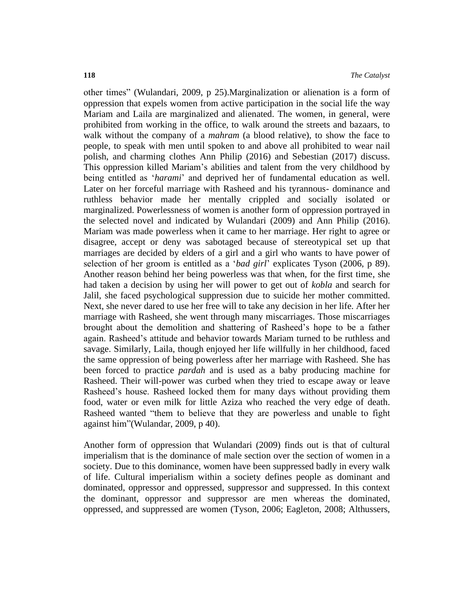other times" (Wulandari, 2009, p 25).Marginalization or alienation is a form of oppression that expels women from active participation in the social life the way Mariam and Laila are marginalized and alienated. The women, in general, were prohibited from working in the office, to walk around the streets and bazaars, to walk without the company of a *mahram* (a blood relative), to show the face to people, to speak with men until spoken to and above all prohibited to wear nail polish, and charming clothes Ann Philip (2016) and Sebestian (2017) discuss. This oppression killed Mariam's abilities and talent from the very childhood by being entitled as '*harami*' and deprived her of fundamental education as well. Later on her forceful marriage with Rasheed and his tyrannous- dominance and ruthless behavior made her mentally crippled and socially isolated or marginalized. Powerlessness of women is another form of oppression portrayed in the selected novel and indicated by Wulandari (2009) and Ann Philip (2016). Mariam was made powerless when it came to her marriage. Her right to agree or disagree, accept or deny was sabotaged because of stereotypical set up that marriages are decided by elders of a girl and a girl who wants to have power of selection of her groom is entitled as a '*bad girl*' explicates Tyson (2006, p 89). Another reason behind her being powerless was that when, for the first time, she had taken a decision by using her will power to get out of *kobla* and search for Jalil, she faced psychological suppression due to suicide her mother committed. Next, she never dared to use her free will to take any decision in her life. After her marriage with Rasheed, she went through many miscarriages. Those miscarriages brought about the demolition and shattering of Rasheed's hope to be a father again. Rasheed's attitude and behavior towards Mariam turned to be ruthless and savage. Similarly, Laila, though enjoyed her life willfully in her childhood, faced the same oppression of being powerless after her marriage with Rasheed. She has been forced to practice *pardah* and is used as a baby producing machine for Rasheed. Their will-power was curbed when they tried to escape away or leave Rasheed's house. Rasheed locked them for many days without providing them food, water or even milk for little Aziza who reached the very edge of death. Rasheed wanted "them to believe that they are powerless and unable to fight against him"(Wulandar, 2009, p 40).

Another form of oppression that Wulandari (2009) finds out is that of cultural imperialism that is the dominance of male section over the section of women in a society. Due to this dominance, women have been suppressed badly in every walk of life. Cultural imperialism within a society defines people as dominant and dominated, oppressor and oppressed, suppressor and suppressed. In this context the dominant, oppressor and suppressor are men whereas the dominated, oppressed, and suppressed are women (Tyson, 2006; Eagleton, 2008; Althussers,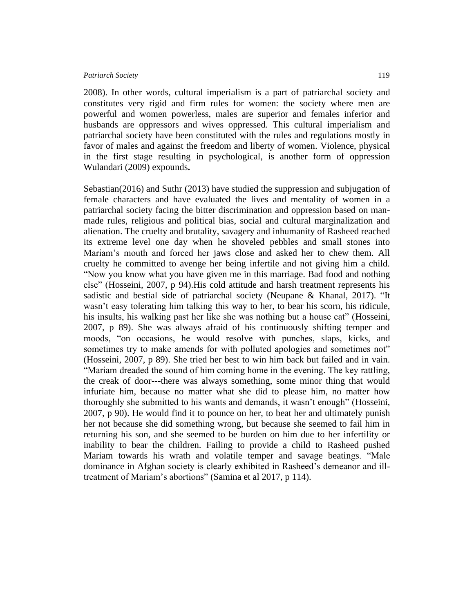2008). In other words, cultural imperialism is a part of patriarchal society and constitutes very rigid and firm rules for women: the society where men are powerful and women powerless, males are superior and females inferior and husbands are oppressors and wives oppressed. This cultural imperialism and patriarchal society have been constituted with the rules and regulations mostly in favor of males and against the freedom and liberty of women. Violence, physical in the first stage resulting in psychological, is another form of oppression Wulandari (2009) expounds**.**

Sebastian(2016) and Suthr (2013) have studied the suppression and subjugation of female characters and have evaluated the lives and mentality of women in a patriarchal society facing the bitter discrimination and oppression based on manmade rules, religious and political bias, social and cultural marginalization and alienation. The cruelty and brutality, savagery and inhumanity of Rasheed reached its extreme level one day when he shoveled pebbles and small stones into Mariam's mouth and forced her jaws close and asked her to chew them. All cruelty he committed to avenge her being infertile and not giving him a child. "Now you know what you have given me in this marriage. Bad food and nothing else" (Hosseini, 2007, p 94).His cold attitude and harsh treatment represents his sadistic and bestial side of patriarchal society (Neupane & Khanal, 2017). "It wasn't easy tolerating him talking this way to her, to bear his scorn, his ridicule, his insults, his walking past her like she was nothing but a house cat" (Hosseini, 2007, p 89). She was always afraid of his continuously shifting temper and moods, "on occasions, he would resolve with punches, slaps, kicks, and sometimes try to make amends for with polluted apologies and sometimes not" (Hosseini, 2007, p 89). She tried her best to win him back but failed and in vain. "Mariam dreaded the sound of him coming home in the evening. The key rattling, the creak of door---there was always something, some minor thing that would infuriate him, because no matter what she did to please him, no matter how thoroughly she submitted to his wants and demands, it wasn't enough" (Hosseini, 2007, p 90). He would find it to pounce on her, to beat her and ultimately punish her not because she did something wrong, but because she seemed to fail him in returning his son, and she seemed to be burden on him due to her infertility or inability to bear the children. Failing to provide a child to Rasheed pushed Mariam towards his wrath and volatile temper and savage beatings. "Male dominance in Afghan society is clearly exhibited in Rasheed's demeanor and illtreatment of Mariam's abortions" (Samina et al 2017, p 114).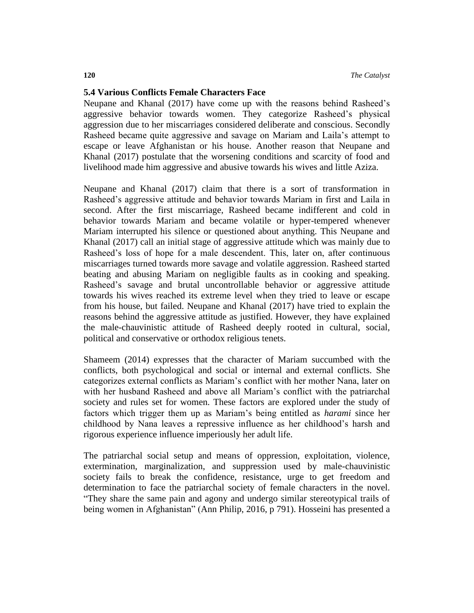# **5.4 Various Conflicts Female Characters Face**

Neupane and Khanal (2017) have come up with the reasons behind Rasheed's aggressive behavior towards women. They categorize Rasheed's physical aggression due to her miscarriages considered deliberate and conscious. Secondly Rasheed became quite aggressive and savage on Mariam and Laila's attempt to escape or leave Afghanistan or his house. Another reason that Neupane and Khanal (2017) postulate that the worsening conditions and scarcity of food and livelihood made him aggressive and abusive towards his wives and little Aziza.

Neupane and Khanal (2017) claim that there is a sort of transformation in Rasheed's aggressive attitude and behavior towards Mariam in first and Laila in second. After the first miscarriage, Rasheed became indifferent and cold in behavior towards Mariam and became volatile or hyper-tempered whenever Mariam interrupted his silence or questioned about anything. This Neupane and Khanal (2017) call an initial stage of aggressive attitude which was mainly due to Rasheed's loss of hope for a male descendent. This, later on, after continuous miscarriages turned towards more savage and volatile aggression. Rasheed started beating and abusing Mariam on negligible faults as in cooking and speaking. Rasheed's savage and brutal uncontrollable behavior or aggressive attitude towards his wives reached its extreme level when they tried to leave or escape from his house, but failed. Neupane and Khanal (2017) have tried to explain the reasons behind the aggressive attitude as justified. However, they have explained the male-chauvinistic attitude of Rasheed deeply rooted in cultural, social, political and conservative or orthodox religious tenets.

Shameem (2014) expresses that the character of Mariam succumbed with the conflicts, both psychological and social or internal and external conflicts. She categorizes external conflicts as Mariam's conflict with her mother Nana, later on with her husband Rasheed and above all Mariam's conflict with the patriarchal society and rules set for women. These factors are explored under the study of factors which trigger them up as Mariam's being entitled as *harami* since her childhood by Nana leaves a repressive influence as her childhood's harsh and rigorous experience influence imperiously her adult life.

The patriarchal social setup and means of oppression, exploitation, violence, extermination, marginalization, and suppression used by male-chauvinistic society fails to break the confidence, resistance, urge to get freedom and determination to face the patriarchal society of female characters in the novel. "They share the same pain and agony and undergo similar stereotypical trails of being women in Afghanistan" (Ann Philip, 2016, p 791). Hosseini has presented a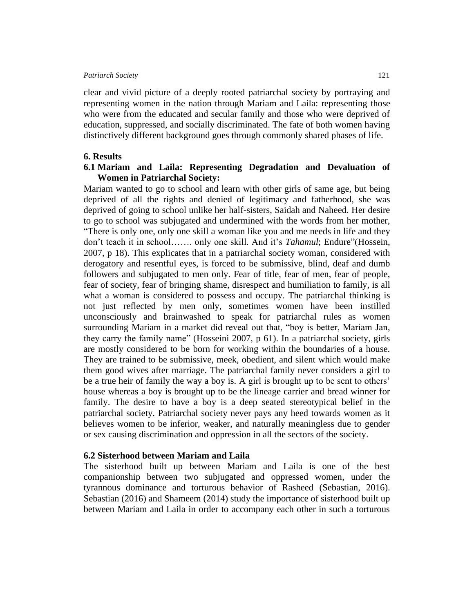clear and vivid picture of a deeply rooted patriarchal society by portraying and representing women in the nation through Mariam and Laila: representing those who were from the educated and secular family and those who were deprived of education, suppressed, and socially discriminated. The fate of both women having distinctively different background goes through commonly shared phases of life.

# **6. Results**

# **6.1 Mariam and Laila: Representing Degradation and Devaluation of Women in Patriarchal Society:**

Mariam wanted to go to school and learn with other girls of same age, but being deprived of all the rights and denied of legitimacy and fatherhood, she was deprived of going to school unlike her half-sisters, Saidah and Naheed. Her desire to go to school was subjugated and undermined with the words from her mother, "There is only one, only one skill a woman like you and me needs in life and they don't teach it in school……. only one skill. And it's *Tahamul*; Endure"(Hossein, 2007, p 18). This explicates that in a patriarchal society woman, considered with derogatory and resentful eyes, is forced to be submissive, blind, deaf and dumb followers and subjugated to men only. Fear of title, fear of men, fear of people, fear of society, fear of bringing shame, disrespect and humiliation to family, is all what a woman is considered to possess and occupy. The patriarchal thinking is not just reflected by men only, sometimes women have been instilled unconsciously and brainwashed to speak for patriarchal rules as women surrounding Mariam in a market did reveal out that, "boy is better, Mariam Jan, they carry the family name" (Hosseini 2007, p 61). In a patriarchal society, girls are mostly considered to be born for working within the boundaries of a house. They are trained to be submissive, meek, obedient, and silent which would make them good wives after marriage. The patriarchal family never considers a girl to be a true heir of family the way a boy is. A girl is brought up to be sent to others' house whereas a boy is brought up to be the lineage carrier and bread winner for family. The desire to have a boy is a deep seated stereotypical belief in the patriarchal society. Patriarchal society never pays any heed towards women as it believes women to be inferior, weaker, and naturally meaningless due to gender or sex causing discrimination and oppression in all the sectors of the society.

#### **6.2 Sisterhood between Mariam and Laila**

The sisterhood built up between Mariam and Laila is one of the best companionship between two subjugated and oppressed women, under the tyrannous dominance and torturous behavior of Rasheed (Sebastian, 2016). Sebastian (2016) and Shameem (2014) study the importance of sisterhood built up between Mariam and Laila in order to accompany each other in such a torturous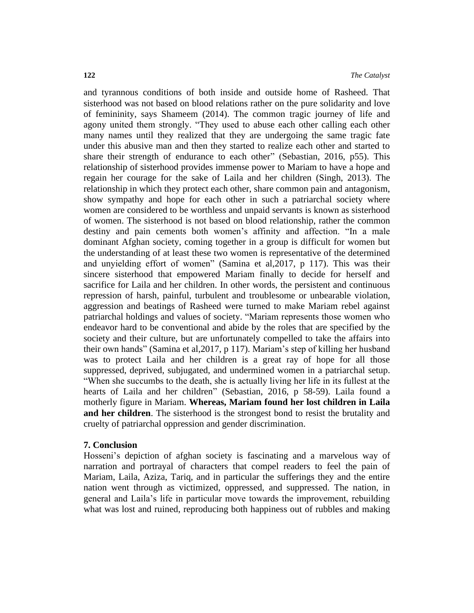and tyrannous conditions of both inside and outside home of Rasheed. That sisterhood was not based on blood relations rather on the pure solidarity and love of femininity, says Shameem (2014). The common tragic journey of life and agony united them strongly. "They used to abuse each other calling each other many names until they realized that they are undergoing the same tragic fate under this abusive man and then they started to realize each other and started to share their strength of endurance to each other" (Sebastian, 2016, p55). This relationship of sisterhood provides immense power to Mariam to have a hope and regain her courage for the sake of Laila and her children (Singh, 2013). The relationship in which they protect each other, share common pain and antagonism, show sympathy and hope for each other in such a patriarchal society where women are considered to be worthless and unpaid servants is known as sisterhood of women. The sisterhood is not based on blood relationship, rather the common destiny and pain cements both women's affinity and affection. "In a male dominant Afghan society, coming together in a group is difficult for women but the understanding of at least these two women is representative of the determined and unyielding effort of women" (Samina et al,2017, p 117). This was their sincere sisterhood that empowered Mariam finally to decide for herself and sacrifice for Laila and her children. In other words, the persistent and continuous repression of harsh, painful, turbulent and troublesome or unbearable violation, aggression and beatings of Rasheed were turned to make Mariam rebel against patriarchal holdings and values of society. "Mariam represents those women who endeavor hard to be conventional and abide by the roles that are specified by the society and their culture, but are unfortunately compelled to take the affairs into their own hands" (Samina et al,2017, p 117). Mariam's step of killing her husband was to protect Laila and her children is a great ray of hope for all those suppressed, deprived, subjugated, and undermined women in a patriarchal setup. "When she succumbs to the death, she is actually living her life in its fullest at the hearts of Laila and her children" (Sebastian, 2016, p 58-59). Laila found a motherly figure in Mariam. **Whereas, Mariam found her lost children in Laila and her children**. The sisterhood is the strongest bond to resist the brutality and cruelty of patriarchal oppression and gender discrimination.

#### **7. Conclusion**

Hosseni's depiction of afghan society is fascinating and a marvelous way of narration and portrayal of characters that compel readers to feel the pain of Mariam, Laila, Aziza, Tariq, and in particular the sufferings they and the entire nation went through as victimized, oppressed, and suppressed. The nation, in general and Laila's life in particular move towards the improvement, rebuilding what was lost and ruined, reproducing both happiness out of rubbles and making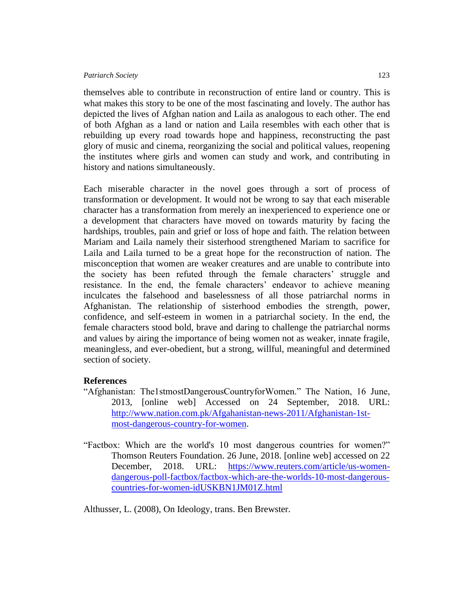themselves able to contribute in reconstruction of entire land or country. This is what makes this story to be one of the most fascinating and lovely. The author has depicted the lives of Afghan nation and Laila as analogous to each other. The end of both Afghan as a land or nation and Laila resembles with each other that is rebuilding up every road towards hope and happiness, reconstructing the past glory of music and cinema, reorganizing the social and political values, reopening the institutes where girls and women can study and work, and contributing in history and nations simultaneously.

Each miserable character in the novel goes through a sort of process of transformation or development. It would not be wrong to say that each miserable character has a transformation from merely an inexperienced to experience one or a development that characters have moved on towards maturity by facing the hardships, troubles, pain and grief or loss of hope and faith. The relation between Mariam and Laila namely their sisterhood strengthened Mariam to sacrifice for Laila and Laila turned to be a great hope for the reconstruction of nation. The misconception that women are weaker creatures and are unable to contribute into the society has been refuted through the female characters' struggle and resistance. In the end, the female characters' endeavor to achieve meaning inculcates the falsehood and baselessness of all those patriarchal norms in Afghanistan. The relationship of sisterhood embodies the strength, power, confidence, and self-esteem in women in a patriarchal society. In the end, the female characters stood bold, brave and daring to challenge the patriarchal norms and values by airing the importance of being women not as weaker, innate fragile, meaningless, and ever-obedient, but a strong, willful, meaningful and determined section of society.

# **References**

- "Afghanistan: The1stmostDangerousCountryforWomen." The Nation, 16 June, 2013, [online web] Accessed on 24 September, 2018. URL: [http://www.nation.com.pk/Afgahanistan-news-2011/Afghanistan-1st](http://www.nation.com.pk/Afgahanistan-news-2011/Afghanistan-1st-most-dangerous-country-for-women)[most-dangerous-country-for-women.](http://www.nation.com.pk/Afgahanistan-news-2011/Afghanistan-1st-most-dangerous-country-for-women)
- "Factbox: Which are the world's 10 most dangerous countries for women?" Thomson Reuters Foundation. 26 June, 2018. [online web] accessed on 22 December, 2018. URL: [https://www.reuters.com/article/us-women](https://www.reuters.com/article/us-women-dangerous-poll-factbox/factbox-which-are-the-worlds-10-most-dangerous-countries-for-women-idUSKBN1JM01Z.html)[dangerous-poll-factbox/factbox-which-are-the-worlds-10-most-dangerous](https://www.reuters.com/article/us-women-dangerous-poll-factbox/factbox-which-are-the-worlds-10-most-dangerous-countries-for-women-idUSKBN1JM01Z.html)[countries-for-women-idUSKBN1JM01Z.html](https://www.reuters.com/article/us-women-dangerous-poll-factbox/factbox-which-are-the-worlds-10-most-dangerous-countries-for-women-idUSKBN1JM01Z.html)

Althusser, L. (2008), On Ideology, trans. Ben Brewster.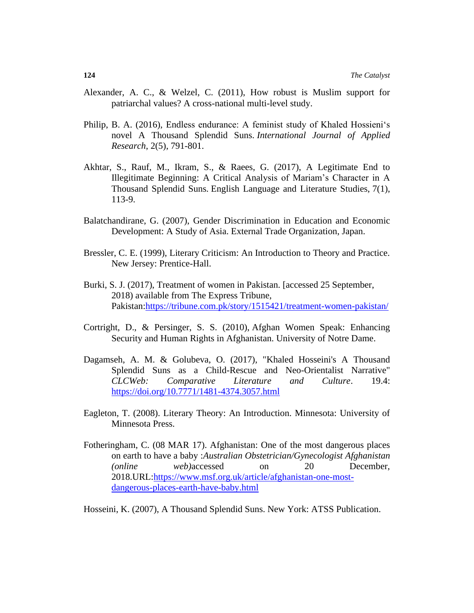- Alexander, A. C., & Welzel, C. (2011), How robust is Muslim support for patriarchal values? A cross-national multi-level study.
- Philip, B. A. (2016), Endless endurance: A feminist study of Khaled Hossieni's novel A Thousand Splendid Suns. *International Journal of Applied Research*, 2(5), 791-801.
- Akhtar, S., Rauf, M., Ikram, S., & Raees, G. (2017), A Legitimate End to Illegitimate Beginning: A Critical Analysis of Mariam's Character in A Thousand Splendid Suns. English Language and Literature Studies, 7(1), 113-9.
- Balatchandirane, G. (2007), Gender Discrimination in Education and Economic Development: A Study of Asia. External Trade Organization, Japan.
- Bressler, C. E. (1999), Literary Criticism: An Introduction to Theory and Practice. New Jersey: Prentice-Hall.
- Burki, S. J. (2017), Treatment of women in Pakistan. [accessed 25 September, 2018) available from The Express Tribune, Pakistan[:https://tribune.com.pk/story/1515421/treatment-women-pakistan/](https://tribune.com.pk/story/1515421/treatment-women-pakistan/)
- Cortright, D., & Persinger, S. S. (2010), Afghan Women Speak: Enhancing Security and Human Rights in Afghanistan. University of Notre Dame.
- Dagamseh, A. M. & Golubeva, O. (2017), "Khaled Hosseini's A Thousand Splendid Suns as a Child-Rescue and Neo-Orientalist Narrative" *CLCWeb: Comparative Literature and Culture*. 19.4: <https://doi.org/10.7771/1481-4374.3057.html>
- Eagleton, T. (2008). Literary Theory: An Introduction. Minnesota: University of Minnesota Press.
- Fotheringham, [C. \(](https://www.msf.org.uk/article/afghanistan-one-most-dangerous-places-earth-have-baby)08 MAR 17). Afghanistan: One of the most dangerous places on earth to have a baby :*Australian Obstetrician/Gynecologist [Afghanistan](https://www.msf.org.uk/country/afghanistan) (online web)*accessed on 20 December, 2018.URL[:https://www.msf.org.uk/article/afghanistan-one-most](https://www.msf.org.uk/article/afghanistan-one-most-dangerous-places-earth-have-baby.html)[dangerous-places-earth-have-baby.html](https://www.msf.org.uk/article/afghanistan-one-most-dangerous-places-earth-have-baby.html)

Hosseini, K. (2007), A Thousand Splendid Suns. New York: ATSS Publication.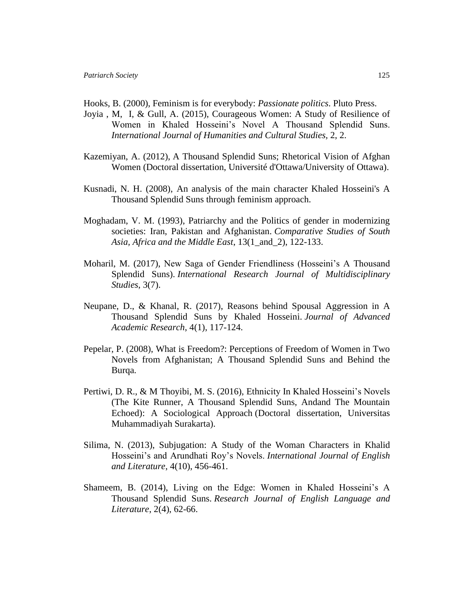- Hooks, B. (2000), Feminism is for everybody: *Passionate politics*. Pluto Press.
- Joyia , M, I, & Gull, A. (2015), Courageous Women: A Study of Resilience of Women in Khaled Hosseini's Novel A Thousand Splendid Suns. *International Journal of Humanities and Cultural Studies,* 2, 2.
- Kazemiyan, A. (2012), A Thousand Splendid Suns; Rhetorical Vision of Afghan Women (Doctoral dissertation, Université d'Ottawa/University of Ottawa).
- Kusnadi, N. H. (2008), An analysis of the main character Khaled Hosseini's A Thousand Splendid Suns through feminism approach.
- Moghadam, V. M. (1993), Patriarchy and the Politics of gender in modernizing societies: Iran, Pakistan and Afghanistan. *Comparative Studies of South Asia, Africa and the Middle East*, 13(1\_and\_2), 122-133.
- Moharil, M. (2017), New Saga of Gender Friendliness (Hosseini's A Thousand Splendid Suns). *International Research Journal of Multidisciplinary Studies*, 3(7).
- Neupane, D., & Khanal, R. (2017), Reasons behind Spousal Aggression in A Thousand Splendid Suns by Khaled Hosseini. *Journal of Advanced Academic Research*, 4(1), 117-124.
- Pepelar, P. (2008), What is Freedom?: Perceptions of Freedom of Women in Two Novels from Afghanistan; A Thousand Splendid Suns and Behind the Burqa.
- Pertiwi, D. R., & M Thoyibi, M. S. (2016), Ethnicity In Khaled Hosseini's Novels (The Kite Runner, A Thousand Splendid Suns, Andand The Mountain Echoed): A Sociological Approach (Doctoral dissertation, Universitas Muhammadiyah Surakarta).
- Silima, N. (2013), Subjugation: A Study of the Woman Characters in Khalid Hosseini's and Arundhati Roy's Novels. *International Journal of English and Literature*, 4(10), 456-461.
- Shameem, B. (2014), Living on the Edge: Women in Khaled Hosseini's A Thousand Splendid Suns. *Research Journal of English Language and Literature*, 2(4), 62-66.